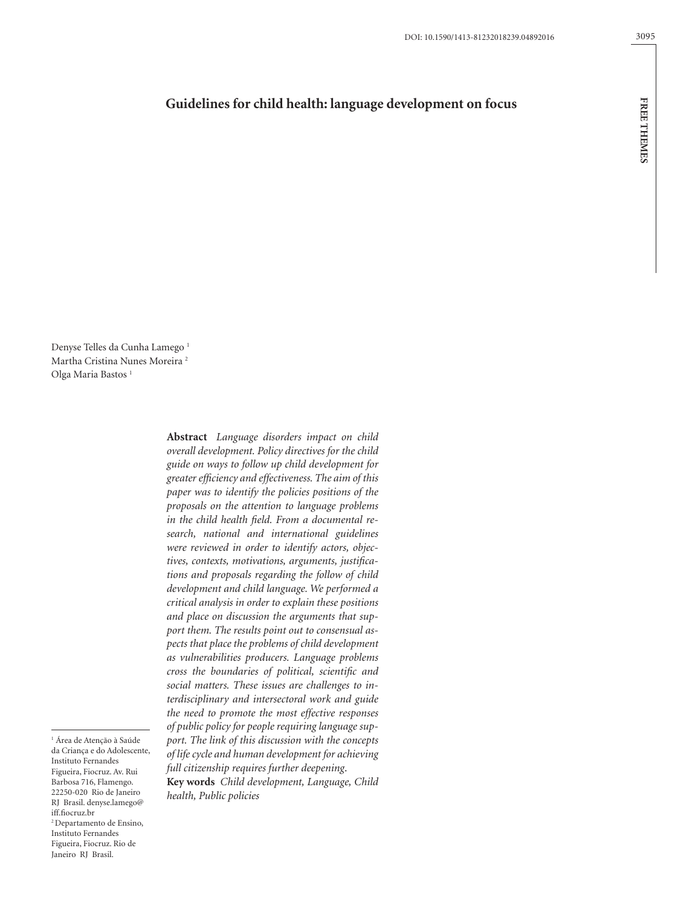# **Guidelines for child health: language development on focus**

Denyse Telles da Cunha Lamego<sup>1</sup> Martha Cristina Nunes Moreira 2 Olga Maria Bastos<sup>1</sup>

> **Abstract** *Language disorders impact on child overall development. Policy directives for the child guide on ways to follow up child development for greater efficiency and effectiveness. The aim of this paper was to identify the policies positions of the proposals on the attention to language problems in the child health field. From a documental research, national and international guidelines were reviewed in order to identify actors, objectives, contexts, motivations, arguments, justifications and proposals regarding the follow of child development and child language. We performed a critical analysis in order to explain these positions and place on discussion the arguments that support them. The results point out to consensual aspects that place the problems of child development as vulnerabilities producers. Language problems cross the boundaries of political, scientific and social matters. These issues are challenges to interdisciplinary and intersectoral work and guide the need to promote the most effective responses of public policy for people requiring language support. The link of this discussion with the concepts of life cycle and human development for achieving full citizenship requires further deepening*.

**Key words** *Child development, Language, Child health, Public policies*

3095

1 Área de Atenção à Saúde da Criança e do Adolescente, Instituto Fernandes Figueira, Fiocruz. Av. Rui Barbosa 716, Flamengo. 22250-020 Rio de Janeiro RJ Brasil. denyse.lamego@ iff.fiocruz.br 2 Departamento de Ensino, Instituto Fernandes Figueira, Fiocruz. Rio de Janeiro RJ Brasil.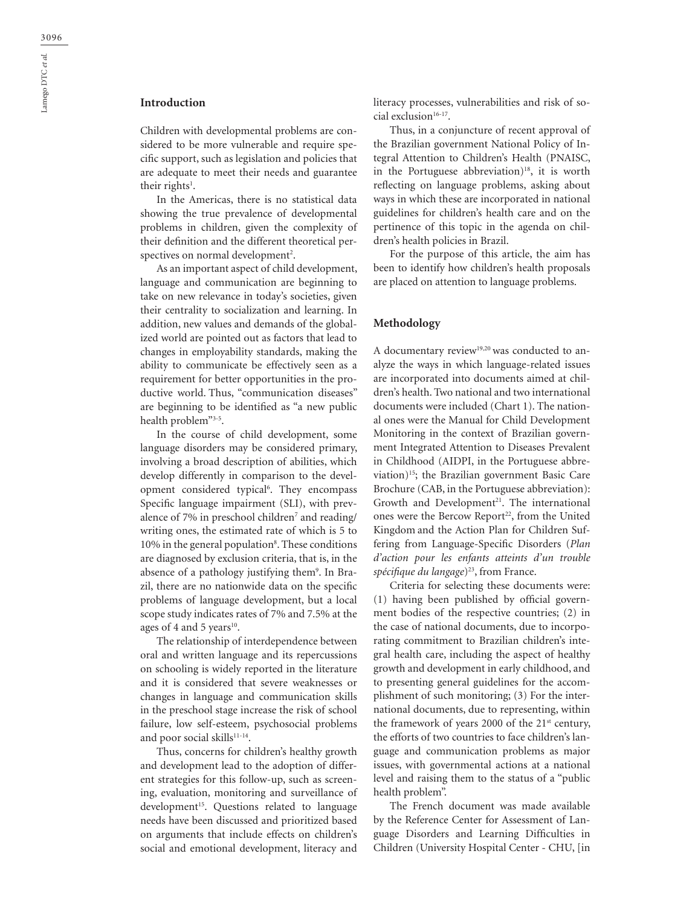## **Introduction**

Children with developmental problems are considered to be more vulnerable and require specific support, such as legislation and policies that are adequate to meet their needs and guarantee their rights $^{\rm l}$ .

In the Americas, there is no statistical data showing the true prevalence of developmental problems in children, given the complexity of their definition and the different theoretical perspectives on normal development<sup>2</sup>.

As an important aspect of child development, language and communication are beginning to take on new relevance in today's societies, given their centrality to socialization and learning. In addition, new values and demands of the globalized world are pointed out as factors that lead to changes in employability standards, making the ability to communicate be effectively seen as a requirement for better opportunities in the productive world. Thus, "communication diseases" are beginning to be identified as "a new public health problem"3-5.

In the course of child development, some language disorders may be considered primary, involving a broad description of abilities, which develop differently in comparison to the development considered typical<sup>6</sup>. They encompass Specific language impairment (SLI), with prevalence of 7% in preschool children<sup>7</sup> and reading/ writing ones, the estimated rate of which is 5 to 10% in the general population<sup>8</sup>. These conditions are diagnosed by exclusion criteria, that is, in the absence of a pathology justifying them<sup>9</sup>. In Brazil, there are no nationwide data on the specific problems of language development, but a local scope study indicates rates of 7% and 7.5% at the ages of 4 and 5 years<sup>10</sup>.

The relationship of interdependence between oral and written language and its repercussions on schooling is widely reported in the literature and it is considered that severe weaknesses or changes in language and communication skills in the preschool stage increase the risk of school failure, low self-esteem, psychosocial problems and poor social skills<sup>11-14</sup>.

Thus, concerns for children's healthy growth and development lead to the adoption of different strategies for this follow-up, such as screening, evaluation, monitoring and surveillance of development<sup>15</sup>. Questions related to language needs have been discussed and prioritized based on arguments that include effects on children's social and emotional development, literacy and

literacy processes, vulnerabilities and risk of social exclusion<sup>16-17</sup>.

Thus, in a conjuncture of recent approval of the Brazilian government National Policy of Integral Attention to Children's Health (PNAISC, in the Portuguese abbreviation)<sup>18</sup>, it is worth reflecting on language problems, asking about ways in which these are incorporated in national guidelines for children's health care and on the pertinence of this topic in the agenda on children's health policies in Brazil.

For the purpose of this article, the aim has been to identify how children's health proposals are placed on attention to language problems.

#### **Methodology**

A documentary review<sup>19,20</sup> was conducted to analyze the ways in which language-related issues are incorporated into documents aimed at children's health. Two national and two international documents were included (Chart 1). The national ones were the Manual for Child Development Monitoring in the context of Brazilian government Integrated Attention to Diseases Prevalent in Childhood (AIDPI, in the Portuguese abbreviation)15; the Brazilian government Basic Care Brochure (CAB, in the Portuguese abbreviation): Growth and Development<sup>21</sup>. The international ones were the Bercow Report<sup>22</sup>, from the United Kingdom and the Action Plan for Children Suffering from Language-Specific Disorders (*Plan d'action pour les enfants atteints d'un trouble*  spécifique du langage)<sup>23</sup>, from France.

Criteria for selecting these documents were: (1) having been published by official government bodies of the respective countries; (2) in the case of national documents, due to incorporating commitment to Brazilian children's integral health care, including the aspect of healthy growth and development in early childhood, and to presenting general guidelines for the accomplishment of such monitoring; (3) For the international documents, due to representing, within the framework of years 2000 of the 21<sup>st</sup> century, the efforts of two countries to face children's language and communication problems as major issues, with governmental actions at a national level and raising them to the status of a "public health problem".

The French document was made available by the Reference Center for Assessment of Language Disorders and Learning Difficulties in Children (University Hospital Center - CHU, [in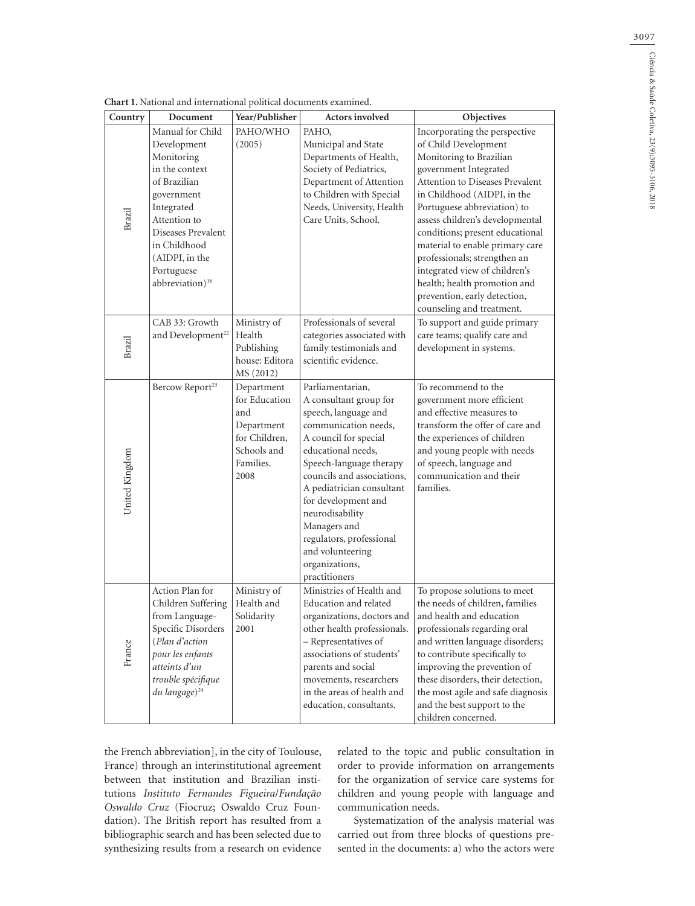| Country        | Chart 1. National and international political documents examined.<br>Document                                                                                                                                | Year/Publisher                                                                                        | <b>Actors involved</b>                                                                                                                                                                                                                                                                                                                                                       | Objectives                                                                                                                                                                                                                                                                                                                                                                                                                                       |
|----------------|--------------------------------------------------------------------------------------------------------------------------------------------------------------------------------------------------------------|-------------------------------------------------------------------------------------------------------|------------------------------------------------------------------------------------------------------------------------------------------------------------------------------------------------------------------------------------------------------------------------------------------------------------------------------------------------------------------------------|--------------------------------------------------------------------------------------------------------------------------------------------------------------------------------------------------------------------------------------------------------------------------------------------------------------------------------------------------------------------------------------------------------------------------------------------------|
|                | Manual for Child                                                                                                                                                                                             | PAHO/WHO                                                                                              | PAHO,                                                                                                                                                                                                                                                                                                                                                                        | Incorporating the perspective                                                                                                                                                                                                                                                                                                                                                                                                                    |
| Brazil         | Development<br>Monitoring<br>in the context<br>of Brazilian<br>government<br>Integrated<br>Attention to<br>Diseases Prevalent<br>in Childhood<br>(AIDPI, in the<br>Portuguese<br>abbreviation) <sup>16</sup> | (2005)                                                                                                | Municipal and State<br>Departments of Health,<br>Society of Pediatrics,<br>Department of Attention<br>to Children with Special<br>Needs, University, Health<br>Care Units, School.                                                                                                                                                                                           | of Child Development<br>Monitoring to Brazilian<br>government Integrated<br>Attention to Diseases Prevalent<br>in Childhood (AIDPI, in the<br>Portuguese abbreviation) to<br>assess children's developmental<br>conditions; present educational<br>material to enable primary care<br>professionals; strengthen an<br>integrated view of children's<br>health; health promotion and<br>prevention, early detection,<br>counseling and treatment. |
| Brazil         | CAB 33: Growth<br>and Development <sup>22</sup>                                                                                                                                                              | Ministry of<br>Health<br>Publishing<br>house: Editora<br>MS (2012)                                    | Professionals of several<br>categories associated with<br>family testimonials and<br>scientific evidence.                                                                                                                                                                                                                                                                    | To support and guide primary<br>care teams; qualify care and<br>development in systems.                                                                                                                                                                                                                                                                                                                                                          |
| United Kingdom | Bercow Report <sup>23</sup>                                                                                                                                                                                  | Department<br>for Education<br>and<br>Department<br>for Children,<br>Schools and<br>Families.<br>2008 | Parliamentarian,<br>A consultant group for<br>speech, language and<br>communication needs,<br>A council for special<br>educational needs,<br>Speech-language therapy<br>councils and associations,<br>A pediatrician consultant<br>for development and<br>neurodisability<br>Managers and<br>regulators, professional<br>and volunteering<br>organizations,<br>practitioners | To recommend to the<br>government more efficient<br>and effective measures to<br>transform the offer of care and<br>the experiences of children<br>and young people with needs<br>of speech, language and<br>communication and their<br>families.                                                                                                                                                                                                |
| France         | Action Plan for<br>Children Suffering<br>from Language-<br>Specific Disorders<br>(Plan d'action<br>pour les enfants<br>atteints d'un<br>trouble spécifique<br>du langage) <sup>24</sup>                      | Ministry of<br>Health and<br>Solidarity<br>2001                                                       | Ministries of Health and<br>Education and related<br>organizations, doctors and<br>other health professionals.<br>- Representatives of<br>associations of students'<br>parents and social<br>movements, researchers<br>in the areas of health and<br>education, consultants.                                                                                                 | To propose solutions to meet<br>the needs of children, families<br>and health and education<br>professionals regarding oral<br>and written language disorders;<br>to contribute specifically to<br>improving the prevention of<br>these disorders, their detection,<br>the most agile and safe diagnosis<br>and the best support to the<br>children concerned.                                                                                   |

**Chart 1.** National and international political document

the French abbreviation], in the city of Toulouse, France) through an interinstitutional agreement between that institution and Brazilian institutions *Instituto Fernandes Figueira*/*Fundação Oswaldo Cruz* (Fiocruz; Oswaldo Cruz Foundation). The British report has resulted from a bibliographic search and has been selected due to synthesizing results from a research on evidence related to the topic and public consultation in order to provide information on arrangements for the organization of service care systems for children and young people with language and communication needs.

Systematization of the analysis material was carried out from three blocks of questions presented in the documents: a) who the actors were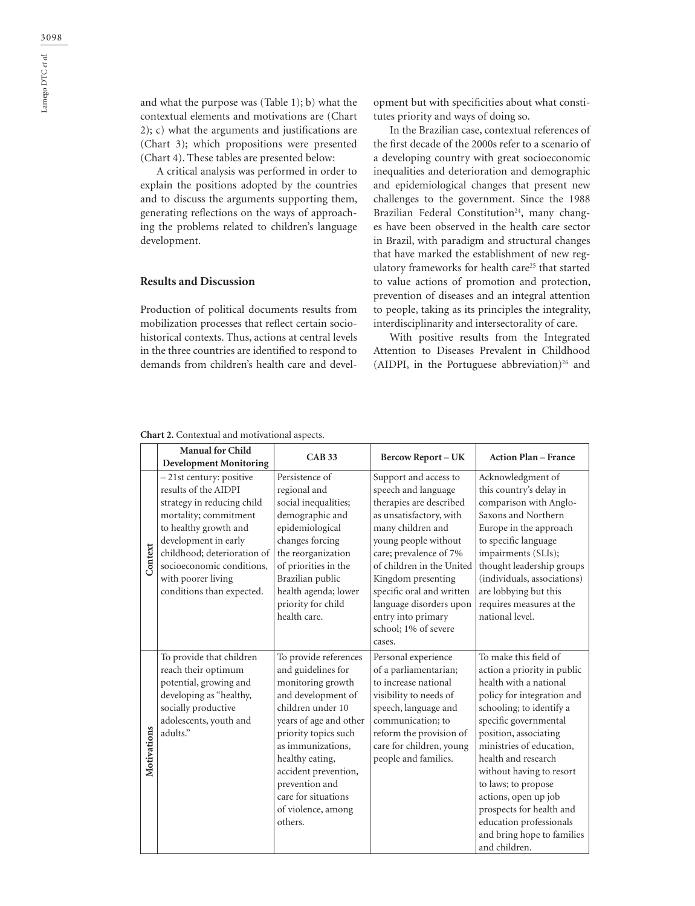and what the purpose was (Table 1); b) what the contextual elements and motivations are (Chart 2); c) what the arguments and justifications are (Chart 3); which propositions were presented (Chart 4). These tables are presented below:

A critical analysis was performed in order to explain the positions adopted by the countries and to discuss the arguments supporting them, generating reflections on the ways of approaching the problems related to children's language development.

## **Results and Discussion**

Production of political documents results from mobilization processes that reflect certain sociohistorical contexts. Thus, actions at central levels in the three countries are identified to respond to demands from children's health care and development but with specificities about what constitutes priority and ways of doing so.

In the Brazilian case, contextual references of the first decade of the 2000s refer to a scenario of a developing country with great socioeconomic inequalities and deterioration and demographic and epidemiological changes that present new challenges to the government. Since the 1988 Brazilian Federal Constitution<sup>24</sup>, many changes have been observed in the health care sector in Brazil, with paradigm and structural changes that have marked the establishment of new regulatory frameworks for health care<sup>25</sup> that started to value actions of promotion and protection, prevention of diseases and an integral attention to people, taking as its principles the integrality, interdisciplinarity and intersectorality of care.

With positive results from the Integrated Attention to Diseases Prevalent in Childhood (AIDPI, in the Portuguese abbreviation)<sup>26</sup> and

**Chart 2.** Contextual and motivational aspects.

|             | <b>Manual for Child</b>                             | <b>CAB 33</b>                                  | <b>Bercow Report-UK</b>                            | <b>Action Plan - France</b>                          |
|-------------|-----------------------------------------------------|------------------------------------------------|----------------------------------------------------|------------------------------------------------------|
|             | <b>Development Monitoring</b>                       |                                                |                                                    |                                                      |
|             | - 21st century: positive<br>results of the AIDPI    | Persistence of<br>regional and                 | Support and access to<br>speech and language       | Acknowledgment of<br>this country's delay in         |
|             | strategy in reducing child<br>mortality; commitment | social inequalities;<br>demographic and        | therapies are described<br>as unsatisfactory, with | comparison with Anglo-<br>Saxons and Northern        |
|             | to healthy growth and                               | epidemiological                                | many children and                                  | Europe in the approach                               |
|             | development in early                                | changes forcing                                | young people without                               | to specific language                                 |
| Context     | childhood; deterioration of                         | the reorganization                             | care; prevalence of 7%                             | impairments (SLIs);                                  |
|             | socioeconomic conditions,                           | of priorities in the                           | of children in the United                          | thought leadership groups                            |
|             | with poorer living<br>conditions than expected.     | Brazilian public<br>health agenda; lower       | Kingdom presenting<br>specific oral and written    | (individuals, associations)<br>are lobbying but this |
|             |                                                     | priority for child                             | language disorders upon                            | requires measures at the                             |
|             |                                                     | health care.                                   | entry into primary                                 | national level.                                      |
|             |                                                     |                                                | school: 1% of severe                               |                                                      |
|             |                                                     |                                                | cases.                                             |                                                      |
|             | To provide that children                            | To provide references                          | Personal experience                                | To make this field of                                |
|             | reach their optimum                                 | and guidelines for                             | of a parliamentarian;                              | action a priority in public                          |
|             | potential, growing and                              | monitoring growth                              | to increase national                               | health with a national                               |
|             | developing as "healthy,                             | and development of                             | visibility to needs of                             | policy for integration and                           |
|             | socially productive                                 | children under 10                              | speech, language and<br>communication; to          | schooling; to identify a                             |
|             | adolescents, youth and<br>adults."                  | years of age and other<br>priority topics such | reform the provision of                            | specific governmental<br>position, associating       |
| Motivations |                                                     | as immunizations.                              | care for children, young                           | ministries of education,                             |
|             |                                                     | healthy eating,                                | people and families.                               | health and research                                  |
|             |                                                     | accident prevention,                           |                                                    | without having to resort                             |
|             |                                                     | prevention and                                 |                                                    | to laws; to propose                                  |
|             |                                                     | care for situations                            |                                                    | actions, open up job                                 |
|             |                                                     | of violence, among                             |                                                    | prospects for health and                             |
|             |                                                     | others.                                        |                                                    | education professionals                              |
|             |                                                     |                                                |                                                    | and bring hope to families                           |
|             |                                                     |                                                |                                                    | and children.                                        |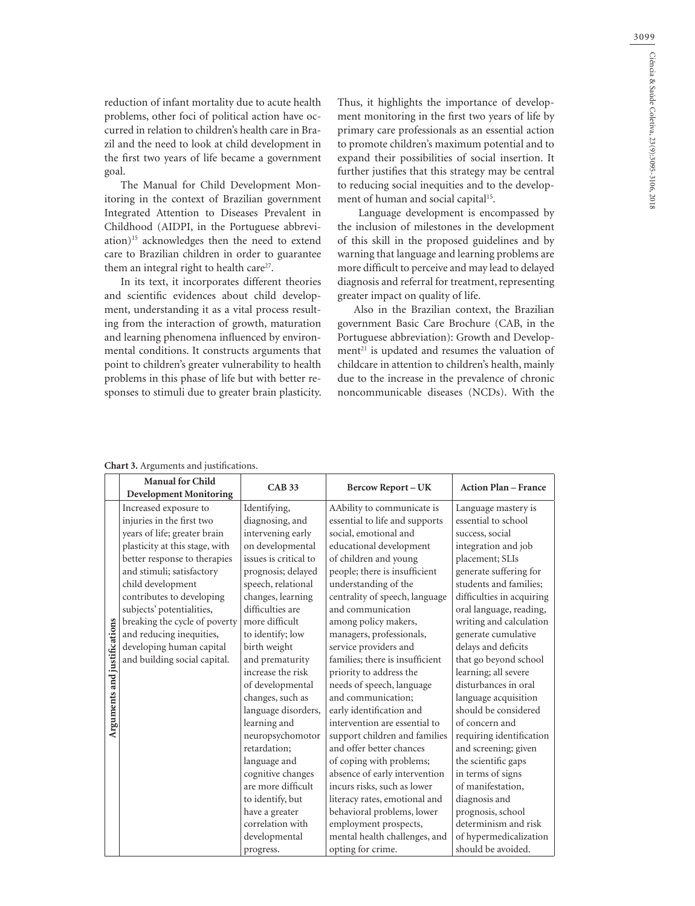reduction of infant mortality due to acute health problems, other foci of political action have occurred in relation to children's health care in Brazil and the need to look at child development in the first two years of life became a government goal.

The Manual for Child Development Monitoring in the context of Brazilian government Integrated Attention to Diseases Prevalent in Childhood (AIDPI, in the Portuguese abbreviation)15 acknowledges then the need to extend care to Brazilian children in order to guarantee them an integral right to health care<sup>27</sup>.

In its text, it incorporates different theories and scientific evidences about child development, understanding it as a vital process resulting from the interaction of growth, maturation and learning phenomena influenced by environmental conditions. It constructs arguments that point to children's greater vulnerability to health problems in this phase of life but with better responses to stimuli due to greater brain plasticity. Thus, it highlights the importance of development monitoring in the first two years of life by primary care professionals as an essential action to promote children's maximum potential and to expand their possibilities of social insertion. It further justifies that this strategy may be central to reducing social inequities and to the development of human and social capital<sup>15</sup>.

 Language development is encompassed by the inclusion of milestones in the development of this skill in the proposed guidelines and by warning that language and learning problems are more difficult to perceive and may lead to delayed diagnosis and referral for treatment, representing greater impact on quality of life.

Also in the Brazilian context, the Brazilian government Basic Care Brochure (CAB, in the Portuguese abbreviation): Growth and Development $21$  is updated and resumes the valuation of childcare in attention to children's health, mainly due to the increase in the prevalence of chronic noncommunicable diseases (NCDs). With the

|                              | <b>Manual for Child</b>        | <b>CAB 33</b>         | <b>Bercow Report-UK</b>         | <b>Action Plan - France</b> |
|------------------------------|--------------------------------|-----------------------|---------------------------------|-----------------------------|
|                              | <b>Development Monitoring</b>  |                       |                                 |                             |
|                              | Increased exposure to          | Identifying,          | AAbility to communicate is      | Language mastery is         |
|                              | injuries in the first two      | diagnosing, and       | essential to life and supports  | essential to school         |
|                              | years of life; greater brain   | intervening early     | social, emotional and           | success, social             |
|                              | plasticity at this stage, with | on developmental      | educational development         | integration and job         |
|                              | better response to therapies   | issues is critical to | of children and young           | placement; SLIs             |
|                              | and stimuli; satisfactory      | prognosis; delayed    | people; there is insufficient   | generate suffering for      |
|                              | child development              | speech, relational    | understanding of the            | students and families;      |
|                              | contributes to developing      | changes, learning     | centrality of speech, language  | difficulties in acquiring   |
|                              | subjects' potentialities,      | difficulties are      | and communication               | oral language, reading,     |
|                              | breaking the cycle of poverty  | more difficult        | among policy makers,            | writing and calculation     |
|                              | and reducing inequities,       | to identify; low      | managers, professionals,        | generate cumulative         |
|                              | developing human capital       | birth weight          | service providers and           | delays and deficits         |
|                              | and building social capital.   | and prematurity       | families; there is insufficient | that go beyond school       |
|                              |                                | increase the risk     | priority to address the         | learning; all severe        |
|                              |                                | of developmental      | needs of speech, language       | disturbances in oral        |
| Arguments and justifications |                                | changes, such as      | and communication;              | language acquisition        |
|                              |                                | language disorders,   | early identification and        | should be considered        |
|                              |                                | learning and          | intervention are essential to   | of concern and              |
|                              |                                | neuropsychomotor      | support children and families   | requiring identification    |
|                              |                                | retardation;          | and offer better chances        | and screening; given        |
|                              |                                | language and          | of coping with problems;        | the scientific gaps         |
|                              |                                | cognitive changes     | absence of early intervention   | in terms of signs           |
|                              |                                | are more difficult    | incurs risks, such as lower     | of manifestation,           |
|                              |                                | to identify, but      | literacy rates, emotional and   | diagnosis and               |
|                              |                                | have a greater        | behavioral problems, lower      | prognosis, school           |
|                              |                                | correlation with      | employment prospects,           | determinism and risk        |
|                              |                                | developmental         | mental health challenges, and   | of hypermedicalization      |
|                              |                                | progress.             | opting for crime.               | should be avoided.          |

#### **Chart 3.** Arguments and justifications.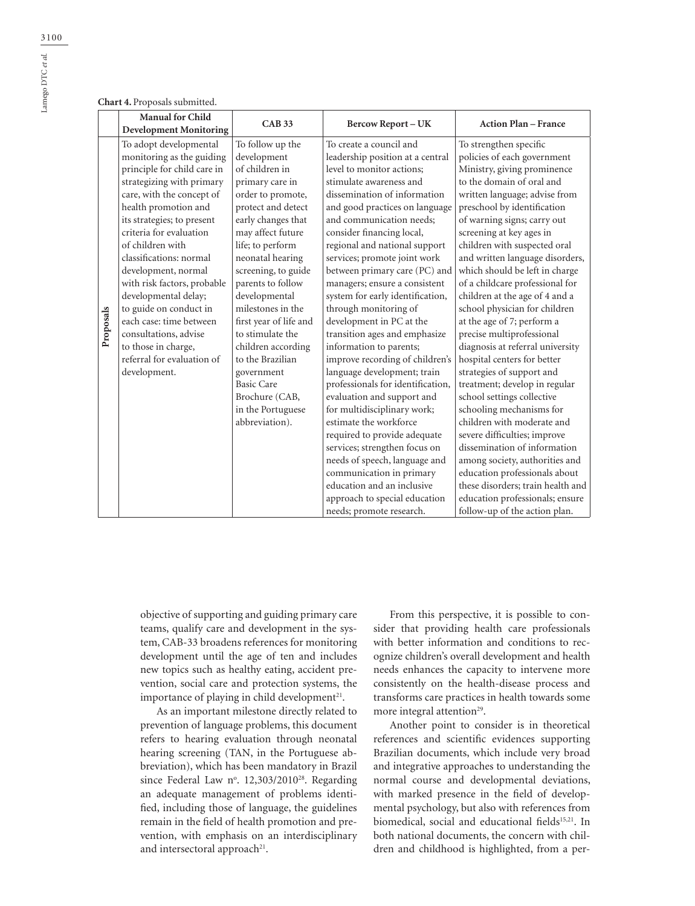#### **Chart 4.** Proposals submitted.

|           | <b>Manual for Child</b><br><b>Development Monitoring</b>                                                                                                                                                                                                                                                                                                                                                                                                                                                      | CAB33                                                                                                                                                                                                                                                                                                                                                                                                                                                                    | <b>Bercow Report-UK</b>                                                                                                                                                                                                                                                                                                                                                                                                                                                                                                                                                                                                                                                                                                                                                                                                                                                                                                                                       | <b>Action Plan - France</b>                                                                                                                                                                                                                                                                                                                                                                                                                                                                                                                                                                                                                                                                                                                                                                                                                                                                                                                                                             |
|-----------|---------------------------------------------------------------------------------------------------------------------------------------------------------------------------------------------------------------------------------------------------------------------------------------------------------------------------------------------------------------------------------------------------------------------------------------------------------------------------------------------------------------|--------------------------------------------------------------------------------------------------------------------------------------------------------------------------------------------------------------------------------------------------------------------------------------------------------------------------------------------------------------------------------------------------------------------------------------------------------------------------|---------------------------------------------------------------------------------------------------------------------------------------------------------------------------------------------------------------------------------------------------------------------------------------------------------------------------------------------------------------------------------------------------------------------------------------------------------------------------------------------------------------------------------------------------------------------------------------------------------------------------------------------------------------------------------------------------------------------------------------------------------------------------------------------------------------------------------------------------------------------------------------------------------------------------------------------------------------|-----------------------------------------------------------------------------------------------------------------------------------------------------------------------------------------------------------------------------------------------------------------------------------------------------------------------------------------------------------------------------------------------------------------------------------------------------------------------------------------------------------------------------------------------------------------------------------------------------------------------------------------------------------------------------------------------------------------------------------------------------------------------------------------------------------------------------------------------------------------------------------------------------------------------------------------------------------------------------------------|
| Proposals | To adopt developmental<br>monitoring as the guiding<br>principle for child care in<br>strategizing with primary<br>care, with the concept of<br>health promotion and<br>its strategies; to present<br>criteria for evaluation<br>of children with<br>classifications: normal<br>development, normal<br>with risk factors, probable<br>developmental delay;<br>to guide on conduct in<br>each case: time between<br>consultations, advise<br>to those in charge,<br>referral for evaluation of<br>development. | To follow up the<br>development<br>of children in<br>primary care in<br>order to promote,<br>protect and detect<br>early changes that<br>may affect future<br>life; to perform<br>neonatal hearing<br>screening, to guide<br>parents to follow<br>developmental<br>milestones in the<br>first year of life and<br>to stimulate the<br>children according<br>to the Brazilian<br>government<br><b>Basic Care</b><br>Brochure (CAB,<br>in the Portuguese<br>abbreviation). | To create a council and<br>leadership position at a central<br>level to monitor actions;<br>stimulate awareness and<br>dissemination of information<br>and good practices on language<br>and communication needs;<br>consider financing local,<br>regional and national support<br>services; promote joint work<br>between primary care (PC) and<br>managers; ensure a consistent<br>system for early identification,<br>through monitoring of<br>development in PC at the<br>transition ages and emphasize<br>information to parents;<br>improve recording of children's<br>language development; train<br>professionals for identification,<br>evaluation and support and<br>for multidisciplinary work;<br>estimate the workforce<br>required to provide adequate<br>services; strengthen focus on<br>needs of speech, language and<br>communication in primary<br>education and an inclusive<br>approach to special education<br>needs; promote research. | To strengthen specific<br>policies of each government<br>Ministry, giving prominence<br>to the domain of oral and<br>written language; advise from<br>preschool by identification<br>of warning signs; carry out<br>screening at key ages in<br>children with suspected oral<br>and written language disorders,<br>which should be left in charge<br>of a childcare professional for<br>children at the age of 4 and a<br>school physician for children<br>at the age of 7; perform a<br>precise multiprofessional<br>diagnosis at referral university<br>hospital centers for better<br>strategies of support and<br>treatment; develop in regular<br>school settings collective<br>schooling mechanisms for<br>children with moderate and<br>severe difficulties; improve<br>dissemination of information<br>among society, authorities and<br>education professionals about<br>these disorders; train health and<br>education professionals; ensure<br>follow-up of the action plan. |

objective of supporting and guiding primary care teams, qualify care and development in the system, CAB-33 broadens references for monitoring development until the age of ten and includes new topics such as healthy eating, accident prevention, social care and protection systems, the importance of playing in child development<sup>21</sup>.

As an important milestone directly related to prevention of language problems, this document refers to hearing evaluation through neonatal hearing screening (TAN, in the Portuguese abbreviation), which has been mandatory in Brazil since Federal Law nº. 12,303/2010<sup>28</sup>. Regarding an adequate management of problems identified, including those of language, the guidelines remain in the field of health promotion and prevention, with emphasis on an interdisciplinary and intersectoral approach $21$ .

From this perspective, it is possible to consider that providing health care professionals with better information and conditions to recognize children's overall development and health needs enhances the capacity to intervene more consistently on the health-disease process and transforms care practices in health towards some more integral attention<sup>29</sup>.

Another point to consider is in theoretical references and scientific evidences supporting Brazilian documents, which include very broad and integrative approaches to understanding the normal course and developmental deviations, with marked presence in the field of developmental psychology, but also with references from biomedical, social and educational fields<sup>15,21</sup>. In both national documents, the concern with children and childhood is highlighted, from a per-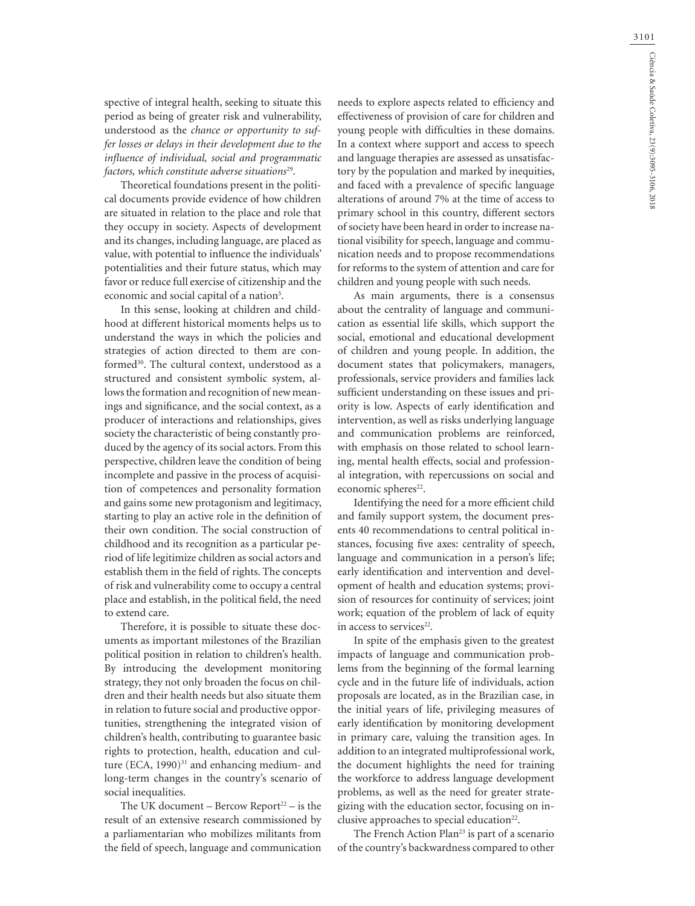spective of integral health, seeking to situate this period as being of greater risk and vulnerability, understood as the *chance or opportunity to suffer losses or delays in their development due to the influence of individual, social and programmatic factors, which constitute adverse situations*29.

Theoretical foundations present in the political documents provide evidence of how children are situated in relation to the place and role that they occupy in society. Aspects of development and its changes, including language, are placed as value, with potential to influence the individuals' potentialities and their future status, which may favor or reduce full exercise of citizenship and the economic and social capital of a nation<sup>5</sup>.

In this sense, looking at children and childhood at different historical moments helps us to understand the ways in which the policies and strategies of action directed to them are conformed<sup>30</sup>. The cultural context, understood as a structured and consistent symbolic system, allows the formation and recognition of new meanings and significance, and the social context, as a producer of interactions and relationships, gives society the characteristic of being constantly produced by the agency of its social actors. From this perspective, children leave the condition of being incomplete and passive in the process of acquisition of competences and personality formation and gains some new protagonism and legitimacy, starting to play an active role in the definition of their own condition. The social construction of childhood and its recognition as a particular period of life legitimize children as social actors and establish them in the field of rights. The concepts of risk and vulnerability come to occupy a central place and establish, in the political field, the need to extend care.

Therefore, it is possible to situate these documents as important milestones of the Brazilian political position in relation to children's health. By introducing the development monitoring strategy, they not only broaden the focus on children and their health needs but also situate them in relation to future social and productive opportunities, strengthening the integrated vision of children's health, contributing to guarantee basic rights to protection, health, education and culture  $(ECA, 1990)^{31}$  and enhancing medium- and long-term changes in the country's scenario of social inequalities.

The UK document – Bercow Report<sup>22</sup> – is the result of an extensive research commissioned by a parliamentarian who mobilizes militants from the field of speech, language and communication

needs to explore aspects related to efficiency and effectiveness of provision of care for children and young people with difficulties in these domains. In a context where support and access to speech and language therapies are assessed as unsatisfactory by the population and marked by inequities, and faced with a prevalence of specific language alterations of around 7% at the time of access to primary school in this country, different sectors of society have been heard in order to increase national visibility for speech, language and communication needs and to propose recommendations for reforms to the system of attention and care for children and young people with such needs.

As main arguments, there is a consensus about the centrality of language and communication as essential life skills, which support the social, emotional and educational development of children and young people. In addition, the document states that policymakers, managers, professionals, service providers and families lack sufficient understanding on these issues and priority is low. Aspects of early identification and intervention, as well as risks underlying language and communication problems are reinforced, with emphasis on those related to school learning, mental health effects, social and professional integration, with repercussions on social and economic spheres<sup>22</sup>.

Identifying the need for a more efficient child and family support system, the document presents 40 recommendations to central political instances, focusing five axes: centrality of speech, language and communication in a person's life; early identification and intervention and development of health and education systems; provision of resources for continuity of services; joint work; equation of the problem of lack of equity in access to services<sup>22</sup>.

In spite of the emphasis given to the greatest impacts of language and communication problems from the beginning of the formal learning cycle and in the future life of individuals, action proposals are located, as in the Brazilian case, in the initial years of life, privileging measures of early identification by monitoring development in primary care, valuing the transition ages. In addition to an integrated multiprofessional work, the document highlights the need for training the workforce to address language development problems, as well as the need for greater strategizing with the education sector, focusing on inclusive approaches to special education<sup>22</sup>.

The French Action Plan<sup>23</sup> is part of a scenario of the country's backwardness compared to other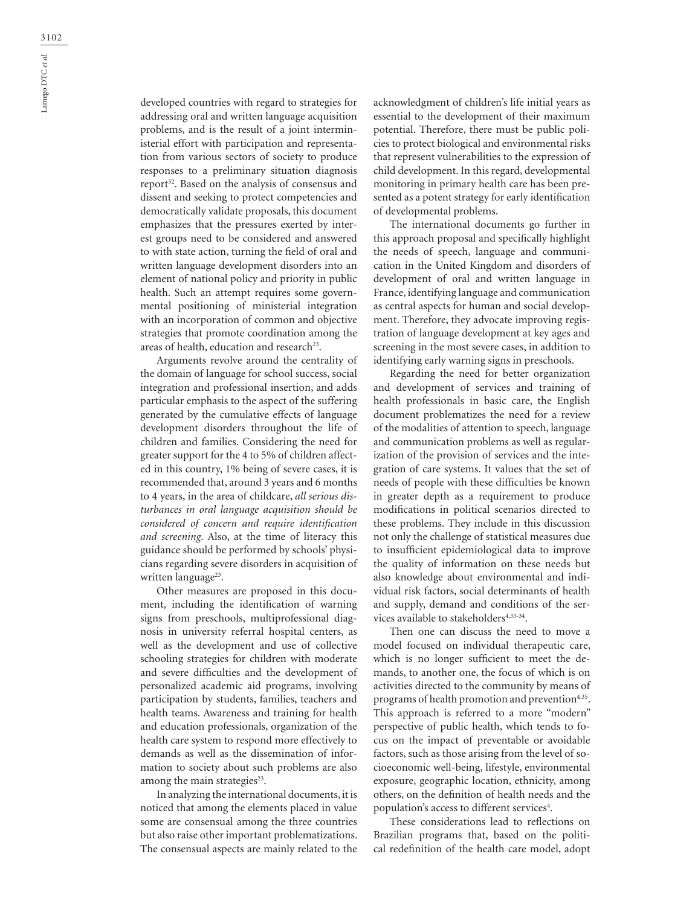developed countries with regard to strategies for addressing oral and written language acquisition problems, and is the result of a joint interministerial effort with participation and representation from various sectors of society to produce responses to a preliminary situation diagnosis report<sup>32</sup>. Based on the analysis of consensus and dissent and seeking to protect competencies and democratically validate proposals, this document emphasizes that the pressures exerted by interest groups need to be considered and answered to with state action, turning the field of oral and written language development disorders into an element of national policy and priority in public health. Such an attempt requires some governmental positioning of ministerial integration with an incorporation of common and objective strategies that promote coordination among the areas of health, education and research<sup>23</sup>.

Arguments revolve around the centrality of the domain of language for school success, social integration and professional insertion, and adds particular emphasis to the aspect of the suffering generated by the cumulative effects of language development disorders throughout the life of children and families. Considering the need for greater support for the 4 to 5% of children affected in this country, 1% being of severe cases, it is recommended that, around 3 years and 6 months to 4 years, in the area of childcare, *all serious disturbances in oral language acquisition should be considered of concern and require identification and screening*. Also, at the time of literacy this guidance should be performed by schools' physicians regarding severe disorders in acquisition of written language<sup>23</sup>.

Other measures are proposed in this document, including the identification of warning signs from preschools, multiprofessional diagnosis in university referral hospital centers, as well as the development and use of collective schooling strategies for children with moderate and severe difficulties and the development of personalized academic aid programs, involving participation by students, families, teachers and health teams. Awareness and training for health and education professionals, organization of the health care system to respond more effectively to demands as well as the dissemination of information to society about such problems are also among the main strategies $23$ .

In analyzing the international documents, it is noticed that among the elements placed in value some are consensual among the three countries but also raise other important problematizations. The consensual aspects are mainly related to the

acknowledgment of children's life initial years as essential to the development of their maximum potential. Therefore, there must be public policies to protect biological and environmental risks that represent vulnerabilities to the expression of child development. In this regard, developmental monitoring in primary health care has been presented as a potent strategy for early identification of developmental problems.

The international documents go further in this approach proposal and specifically highlight the needs of speech, language and communication in the United Kingdom and disorders of development of oral and written language in France, identifying language and communication as central aspects for human and social development. Therefore, they advocate improving registration of language development at key ages and screening in the most severe cases, in addition to identifying early warning signs in preschools.

Regarding the need for better organization and development of services and training of health professionals in basic care, the English document problematizes the need for a review of the modalities of attention to speech, language and communication problems as well as regularization of the provision of services and the integration of care systems. It values that the set of needs of people with these difficulties be known in greater depth as a requirement to produce modifications in political scenarios directed to these problems. They include in this discussion not only the challenge of statistical measures due to insufficient epidemiological data to improve the quality of information on these needs but also knowledge about environmental and individual risk factors, social determinants of health and supply, demand and conditions of the services available to stakeholders<sup>4,33-34</sup>.

Then one can discuss the need to move a model focused on individual therapeutic care, which is no longer sufficient to meet the demands, to another one, the focus of which is on activities directed to the community by means of programs of health promotion and prevention<sup>4,35</sup>. This approach is referred to a more "modern" perspective of public health, which tends to focus on the impact of preventable or avoidable factors, such as those arising from the level of socioeconomic well-being, lifestyle, environmental exposure, geographic location, ethnicity, among others, on the definition of health needs and the population's access to different services<sup>4</sup>.

These considerations lead to reflections on Brazilian programs that, based on the political redefinition of the health care model, adopt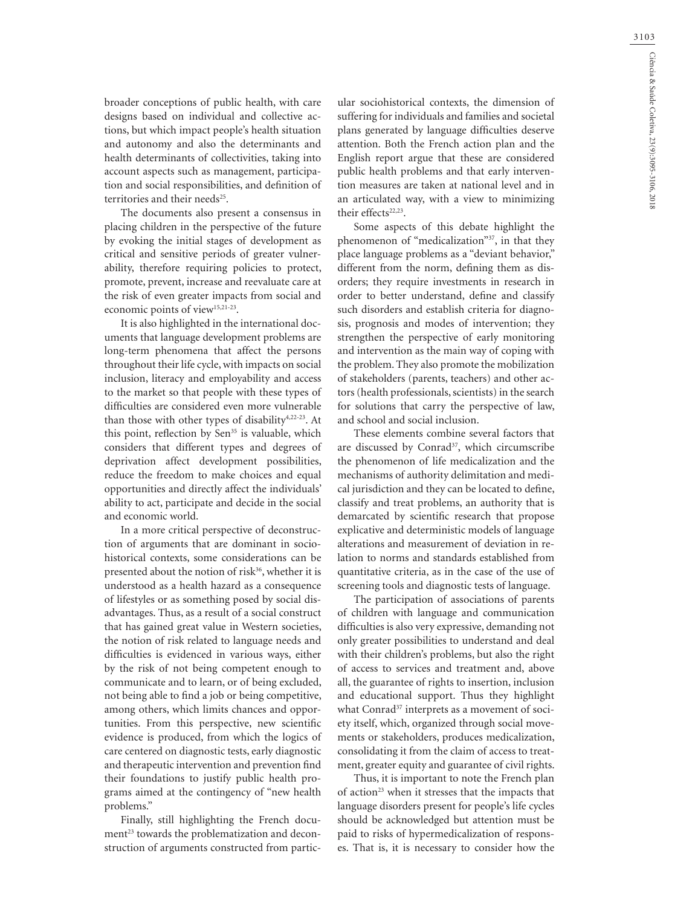broader conceptions of public health, with care designs based on individual and collective actions, but which impact people's health situation and autonomy and also the determinants and health determinants of collectivities, taking into account aspects such as management, participation and social responsibilities, and definition of territories and their needs<sup>25</sup>.

The documents also present a consensus in placing children in the perspective of the future by evoking the initial stages of development as critical and sensitive periods of greater vulnerability, therefore requiring policies to protect, promote, prevent, increase and reevaluate care at the risk of even greater impacts from social and economic points of view<sup>15,21-23</sup>.

It is also highlighted in the international documents that language development problems are long-term phenomena that affect the persons throughout their life cycle, with impacts on social inclusion, literacy and employability and access to the market so that people with these types of difficulties are considered even more vulnerable than those with other types of disability<sup>4,22-23</sup>. At this point, reflection by Sen<sup>35</sup> is valuable, which considers that different types and degrees of deprivation affect development possibilities, reduce the freedom to make choices and equal opportunities and directly affect the individuals' ability to act, participate and decide in the social and economic world.

In a more critical perspective of deconstruction of arguments that are dominant in sociohistorical contexts, some considerations can be presented about the notion of risk<sup>36</sup>, whether it is understood as a health hazard as a consequence of lifestyles or as something posed by social disadvantages. Thus, as a result of a social construct that has gained great value in Western societies, the notion of risk related to language needs and difficulties is evidenced in various ways, either by the risk of not being competent enough to communicate and to learn, or of being excluded, not being able to find a job or being competitive, among others, which limits chances and opportunities. From this perspective, new scientific evidence is produced, from which the logics of care centered on diagnostic tests, early diagnostic and therapeutic intervention and prevention find their foundations to justify public health programs aimed at the contingency of "new health problems."

Finally, still highlighting the French document<sup>23</sup> towards the problematization and deconstruction of arguments constructed from partic-

ular sociohistorical contexts, the dimension of suffering for individuals and families and societal plans generated by language difficulties deserve attention. Both the French action plan and the English report argue that these are considered public health problems and that early intervention measures are taken at national level and in an articulated way, with a view to minimizing their effects<sup>22,23</sup>.

Some aspects of this debate highlight the phenomenon of "medicalization"37, in that they place language problems as a "deviant behavior," different from the norm, defining them as disorders; they require investments in research in order to better understand, define and classify such disorders and establish criteria for diagnosis, prognosis and modes of intervention; they strengthen the perspective of early monitoring and intervention as the main way of coping with the problem. They also promote the mobilization of stakeholders (parents, teachers) and other actors (health professionals, scientists) in the search for solutions that carry the perspective of law, and school and social inclusion.

These elements combine several factors that are discussed by Conrad<sup>37</sup>, which circumscribe the phenomenon of life medicalization and the mechanisms of authority delimitation and medical jurisdiction and they can be located to define, classify and treat problems, an authority that is demarcated by scientific research that propose explicative and deterministic models of language alterations and measurement of deviation in relation to norms and standards established from quantitative criteria, as in the case of the use of screening tools and diagnostic tests of language.

The participation of associations of parents of children with language and communication difficulties is also very expressive, demanding not only greater possibilities to understand and deal with their children's problems, but also the right of access to services and treatment and, above all, the guarantee of rights to insertion, inclusion and educational support. Thus they highlight what Conrad<sup>37</sup> interprets as a movement of society itself, which, organized through social movements or stakeholders, produces medicalization, consolidating it from the claim of access to treatment, greater equity and guarantee of civil rights.

Thus, it is important to note the French plan of action<sup>23</sup> when it stresses that the impacts that language disorders present for people's life cycles should be acknowledged but attention must be paid to risks of hypermedicalization of responses. That is, it is necessary to consider how the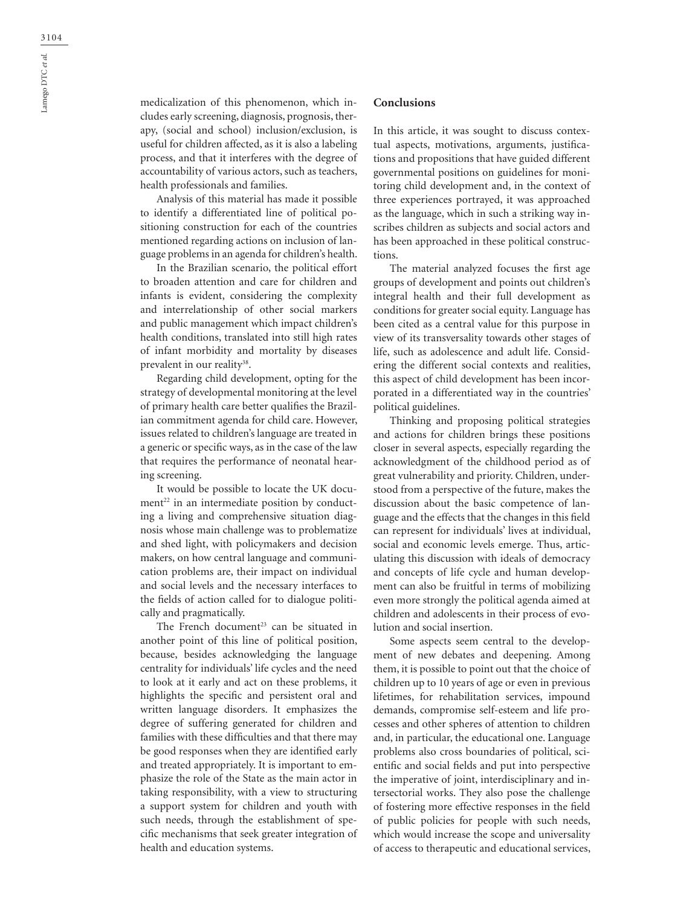medicalization of this phenomenon, which includes early screening, diagnosis, prognosis, therapy, (social and school) inclusion/exclusion, is useful for children affected, as it is also a labeling process, and that it interferes with the degree of accountability of various actors, such as teachers, health professionals and families.

Analysis of this material has made it possible to identify a differentiated line of political positioning construction for each of the countries mentioned regarding actions on inclusion of language problems in an agenda for children's health.

In the Brazilian scenario, the political effort to broaden attention and care for children and infants is evident, considering the complexity and interrelationship of other social markers and public management which impact children's health conditions, translated into still high rates of infant morbidity and mortality by diseases prevalent in our reality<sup>38</sup>.

Regarding child development, opting for the strategy of developmental monitoring at the level of primary health care better qualifies the Brazilian commitment agenda for child care. However, issues related to children's language are treated in a generic or specific ways, as in the case of the law that requires the performance of neonatal hearing screening.

It would be possible to locate the UK document<sup>22</sup> in an intermediate position by conducting a living and comprehensive situation diagnosis whose main challenge was to problematize and shed light, with policymakers and decision makers, on how central language and communication problems are, their impact on individual and social levels and the necessary interfaces to the fields of action called for to dialogue politically and pragmatically.

The French document<sup>23</sup> can be situated in another point of this line of political position, because, besides acknowledging the language centrality for individuals' life cycles and the need to look at it early and act on these problems, it highlights the specific and persistent oral and written language disorders. It emphasizes the degree of suffering generated for children and families with these difficulties and that there may be good responses when they are identified early and treated appropriately. It is important to emphasize the role of the State as the main actor in taking responsibility, with a view to structuring a support system for children and youth with such needs, through the establishment of specific mechanisms that seek greater integration of health and education systems.

## **Conclusions**

In this article, it was sought to discuss contextual aspects, motivations, arguments, justifications and propositions that have guided different governmental positions on guidelines for monitoring child development and, in the context of three experiences portrayed, it was approached as the language, which in such a striking way inscribes children as subjects and social actors and has been approached in these political constructions.

The material analyzed focuses the first age groups of development and points out children's integral health and their full development as conditions for greater social equity. Language has been cited as a central value for this purpose in view of its transversality towards other stages of life, such as adolescence and adult life. Considering the different social contexts and realities, this aspect of child development has been incorporated in a differentiated way in the countries' political guidelines.

Thinking and proposing political strategies and actions for children brings these positions closer in several aspects, especially regarding the acknowledgment of the childhood period as of great vulnerability and priority. Children, understood from a perspective of the future, makes the discussion about the basic competence of language and the effects that the changes in this field can represent for individuals' lives at individual, social and economic levels emerge. Thus, articulating this discussion with ideals of democracy and concepts of life cycle and human development can also be fruitful in terms of mobilizing even more strongly the political agenda aimed at children and adolescents in their process of evolution and social insertion.

Some aspects seem central to the development of new debates and deepening. Among them, it is possible to point out that the choice of children up to 10 years of age or even in previous lifetimes, for rehabilitation services, impound demands, compromise self-esteem and life processes and other spheres of attention to children and, in particular, the educational one. Language problems also cross boundaries of political, scientific and social fields and put into perspective the imperative of joint, interdisciplinary and intersectorial works. They also pose the challenge of fostering more effective responses in the field of public policies for people with such needs, which would increase the scope and universality of access to therapeutic and educational services,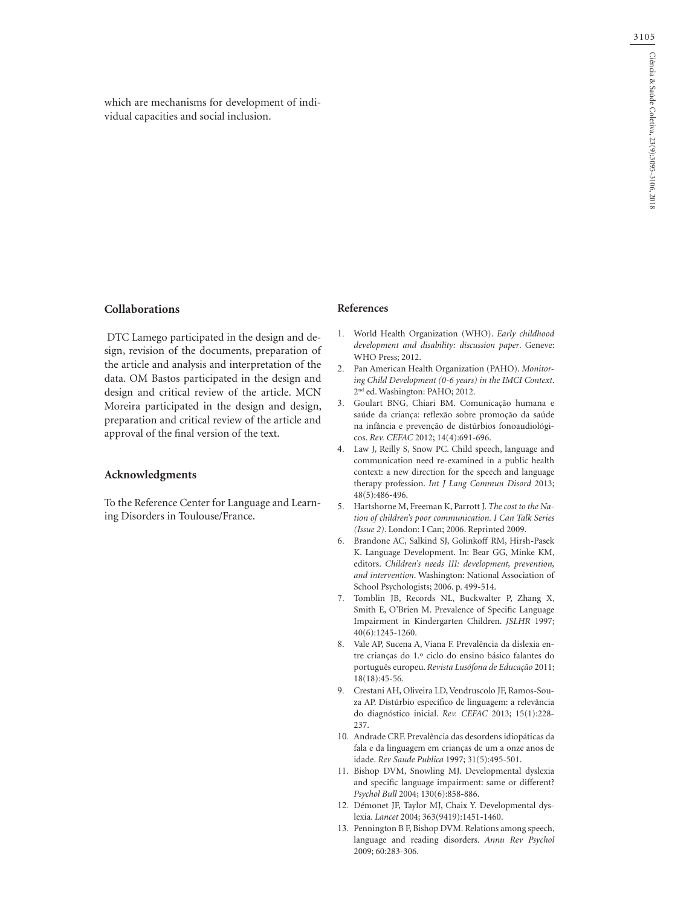which are mechanisms for development of individual capacities and social inclusion.

### **Collaborations**

 DTC Lamego participated in the design and design, revision of the documents, preparation of the article and analysis and interpretation of the data. OM Bastos participated in the design and design and critical review of the article. MCN Moreira participated in the design and design, preparation and critical review of the article and approval of the final version of the text.

### **Acknowledgments**

To the Reference Center for Language and Learning Disorders in Toulouse/France.

### **References**

- 1. World Health Organization (WHO). *Early childhood development and disability: discussion paper*. Geneve: WHO Press; 2012.
- 2. Pan American Health Organization (PAHO). *Monitoring Child Development (0-6 years) in the IMCI Context*. 2<sup>nd</sup> ed. Washington: PAHO; 2012.
- 3. Goulart BNG, Chiari BM. Comunicação humana e saúde da criança: reflexão sobre promoção da saúde na infância e prevenção de distúrbios fonoaudiológicos. *Rev. CEFAC* 2012; 14(4):691-696.
- 4. Law J, Reilly S, Snow PC. Child speech, language and communication need re-examined in a public health context: a new direction for the speech and language therapy profession. *Int J Lang Commun Disord* 2013; 48(5):486-496.
- 5. Hartshorne M, Freeman K, Parrott J. *The cost to the Nation of children's poor communication. I Can Talk Series (Issue 2)*. London: I Can; 2006. Reprinted 2009.
- 6. Brandone AC, Salkind SJ, Golinkoff RM, Hirsh-Pasek K. Language Development. In: Bear GG, Minke KM, editors. *Children's needs III: development, prevention, and intervention*. Washington: National Association of School Psychologists; 2006. p. 499-514.
- 7. Tomblin JB, Records NL, Buckwalter P, Zhang X, Smith E, O'Brien M. Prevalence of Specific Language Impairment in Kindergarten Children. *JSLHR* 1997; 40(6):1245-1260.
- 8. Vale AP, Sucena A, Viana F. Prevalência da dislexia entre crianças do 1.º ciclo do ensino básico falantes do português europeu. *Revista Lusófona de Educação* 2011; 18(18):45-56.
- 9. Crestani AH, Oliveira LD, Vendruscolo JF, Ramos-Souza AP. Distúrbio específico de linguagem: a relevância do diagnóstico inicial. *Rev. CEFAC* 2013; 15(1):228- 237.
- 10. Andrade CRF. Prevalência das desordens idiopáticas da fala e da linguagem em crianças de um a onze anos de idade. *Rev Saude Publica* 1997; 31(5):495-501.
- 11. Bishop DVM, Snowling MJ. Developmental dyslexia and specific language impairment: same or different? *Psychol Bull* 2004; 130(6):858-886.
- 12. Démonet JF, Taylor MJ, Chaix Y. Developmental dyslexia. *Lancet* 2004; 363(9419):1451-1460.
- 13. Pennington B F, Bishop DVM. Relations among speech, language and reading disorders. *Annu Rev Psychol* 2009; 60:283-306.